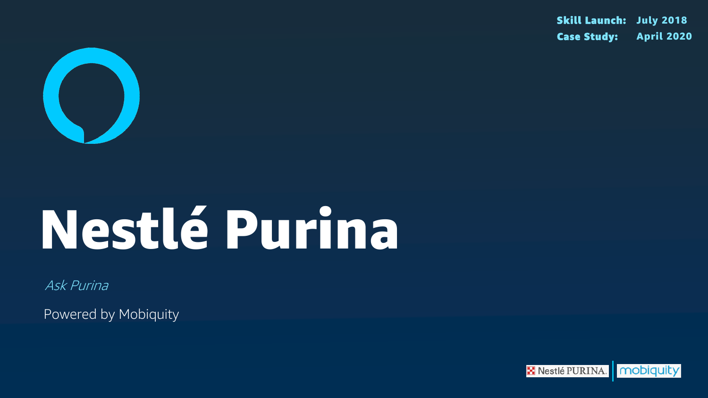

# Nestlé Purina

Ask Purina

Powered by Mobiquity

# Skill Launch: July 2018 Case Study: April 2020

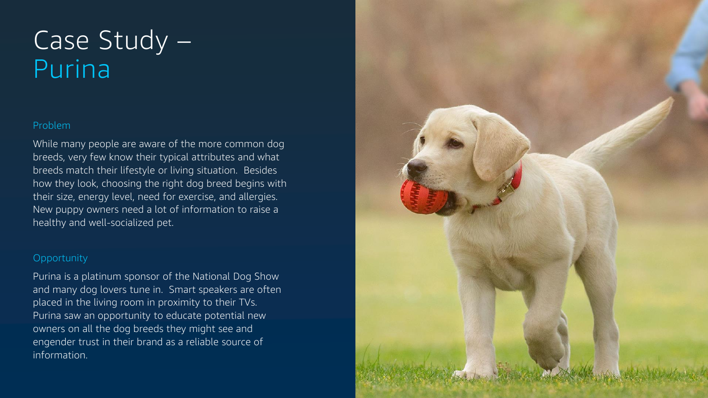# Problem

While many people are aware of the more common dog breeds, very few know their typical attributes and what breeds match their lifestyle or living situation. Besides how they look, choosing the right dog breed begins with their size, energy level, need for exercise, and allergies. New puppy owners need a lot of information to raise a healthy and well-socialized pet.

## **Opportunity**

# Case Study – Purina

Purina is a platinum sponsor of the National Dog Show and many dog lovers tune in. Smart speakers are often placed in the living room in proximity to their TVs. Purina saw an opportunity to educate potential new owners on all the dog breeds they might see and engender trust in their brand as a reliable source of information.

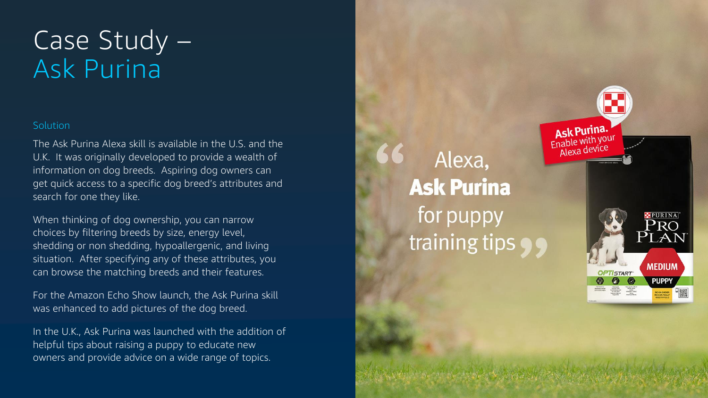# Case Study – Ask Purina

### **Solution**

The Ask Purina Alexa skill is available in the U.S. and the U.K. It was originally developed to provide a wealth of information on dog breeds. Aspiring dog owners can get quick access to a specific dog breed's attributes and search for one they like.

When thinking of dog ownership, you can narrow choices by filtering breeds by size, energy level, shedding or non shedding, hypoallergenic, and living situation. After specifying any of these attributes, you can browse the matching breeds and their features.

For the Amazon Echo Show launch, the Ask Purina skill was enhanced to add pictures of the dog breed.

In the U.K., Ask Purina was launched with the addition of helpful tips about raising a puppy to educate new owners and provide advice on a wide range of topics.

Alexa, **Ask Purina** for puppy training tips •



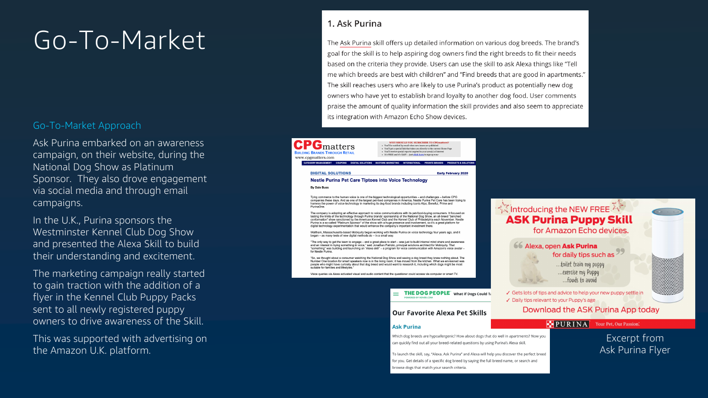# Go-To-Market

### Go -To -Market Approach

Ask Purina embarked on an awareness campaign, on their website, during the National Dog Show as Platinum Sponsor. They also drove engagement via social media and through email campaigns.

In the U.K., Purina sponsors the Westminster Kennel Club Dog Show and presented the Alexa Skill to build their understanding and excitement.

The marketing campaign really started to gain traction with the addition of a flyer in the Kennel Club Puppy Packs sent to all newly registered puppy owners to drive awareness of the Skill.

This was supported with advertising on the Amazon U.K. platform.

### 1. Ask Purina

The Ask Purina skill offers up detailed information on various dog breeds. The brand's goal for the skill is to help aspiring dog owners find the right breeds to fit their needs based on the criteria they provide. Users can use the skill to ask Alexa things like "Tell me which breeds are best with children" and "Find breeds that are good in apartments." The skill reaches users who are likely to use Purina's product as potentially new dog owners who have yet to establish brand loyalty to another dog food. User comments praise the amount of quality information the skill provides and also seem to appreciate its integration with Amazon Echo Show devices.

#### **PG**matters WHY SHOULD YOU SUBSCRIBE TO CPGn • You'll be notified by email when new issues are published<br>• You'll get a special link that takes you directly to the current Home Page • You'll receive special reports targeted to your area(s) of interest . It's FREE and it's EASY -- just click here to sign up no **DIGITAL SOLUTIONS Early February 2020 Nestle Purina Pet Care Tiptoes into Voice Technology By Dale Buss** Tying commerce to the human voice is one of the biggest technological opportunities – and challenges – before CPG<br>companies these days. And as one of the largest pet-food companies in America, Nestle Purina Pet Care has be The company is adopting an effective approach to voice communications with its pet-food-buying consumers. It focused on<br>testing the limits of the technology through Purina brands sponsorship of the National Dog Show, an al Purina is a so-called "Platinum Sponsor" of the show with a huge presence and involvement, so it's a great platform for digital technology experimentation that would enhance the company's important investment there Waltham, Massachusetts-based Mobiquity began working with Nestle Purina on voice technology four years ago, and it began - as many tests of new digital methods do - in a small way. "The only way to get the team to engage – and a great place to start – was just to build internal mind share and awareness<br>and an interest in trying something in voice," said Jonathan Patrizio, principal solutions architec for Nestle Purina "So, we thought about a consumer watching the National Dog Show and seeing a dog breed they knew nothing about. The Number One location for smart speakers now is in the living room; it has moved from the kitchen. What we envisioned was<br>people who might have curiosity about that dog breed and would want to research it, including which do uitable for families and lifestyle Voice queries via Alexa activated visual and audio content that the questioner could access via computer or smart TV.  $\equiv$  THE DOG PEOPLE<sup> $\dot{ }$ </sup> What if Dogs Could Ta

#### **Our Favorite Alexa Pet Skills**

#### **Ask Purina**

Which dog breeds are hypoallergenic? How about dogs that do well in apartments? Now you can quickly find out all your breed-related questions by using Purina's Alexa skill.

To launch the skill, say, "Alexa, Ask Purina" and Alexa will help you discover the perfect breed for you. Get details of a specific dog breed by saying the full breed name, or search and browse dogs that match your search criteria.

### र्दूरें Introducing the NEW FREE **ASK Purina Puppy Skill** for Amazon Echo devices.

#### 66 Alexa, open Ask Purina for daily tips such as

...toilet train my puppy ...exercise my Puppy ...foods to avoid

Gets lots of tips and advice to help your new puppy settle in ✓ Daily tips relevant to your Puppy's age

Download the ASK Purina App today

### **PURINA** Your Pet, Our Passion.

Excerpt from Ask Purina Flyer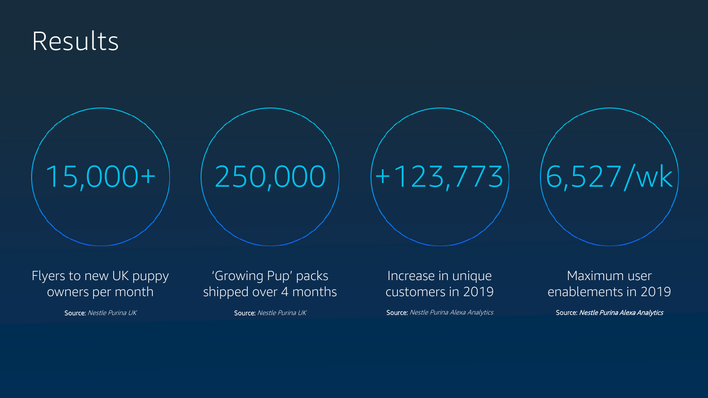# Results



Flyers to new UK puppy owners per month

# 'Growing Pup' packs shipped over 4 months

# Increase in unique customers in 2019

Source: Nestle Purina UK Source: Nestle Purina UK Source: Nestle Purina UK Source: Nestle Purina Alexa Analytics



# Maximum user enablements in 2019

Source: Nestle Purina Alexa Analytics